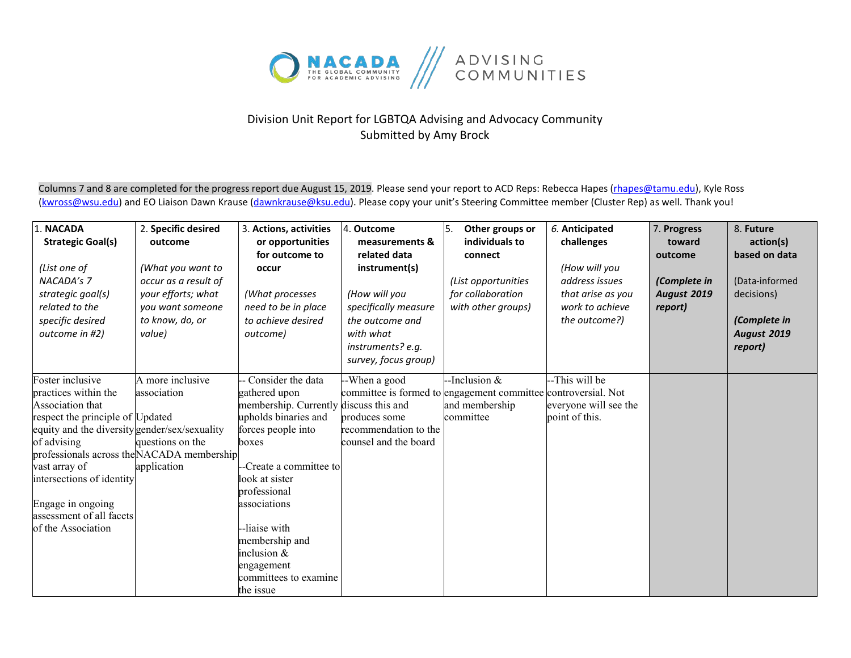

## Division Unit Report for LGBTQA Advising and Advocacy Community Submitted by Amy Brock

Columns 7 and 8 are completed for the progress report due August 15, 2019. Please send your report to ACD Reps: Rebecca Hapes (rhapes@tamu.edu), Kyle Ross [\(kwross@wsu.edu\)](mailto:kwross@wsu.edu) and EO Liaison Dawn Krause (dawnkrause@ksu.edu). Please copy your unit's Steering Committee member (Cluster Rep) as well. Thank you!

| 1. NACADA<br><b>Strategic Goal(s)</b>                                                                                                                                                                                                                        | 2. Specific desired<br>outcome                                                                                   | 3. Actions, activities<br>or opportunities                                                                                                                                      | 4. Outcome<br>measurements &                                                                                                                        | ١5.<br>Other groups or<br>individuals to                                                                      | 6. Anticipated<br>challenges                                                             | 7. Progress<br>toward                             | 8. Future<br>action(s)                                                                         |
|--------------------------------------------------------------------------------------------------------------------------------------------------------------------------------------------------------------------------------------------------------------|------------------------------------------------------------------------------------------------------------------|---------------------------------------------------------------------------------------------------------------------------------------------------------------------------------|-----------------------------------------------------------------------------------------------------------------------------------------------------|---------------------------------------------------------------------------------------------------------------|------------------------------------------------------------------------------------------|---------------------------------------------------|------------------------------------------------------------------------------------------------|
| (List one of<br>NACADA's 7<br>strategic goal(s)<br>related to the<br>specific desired<br>outcome in #2)                                                                                                                                                      | (What you want to<br>occur as a result of<br>your efforts; what<br>you want someone<br>to know, do, or<br>value) | for outcome to<br>occur<br>(What processes<br>need to be in place<br>to achieve desired<br>outcome)                                                                             | related data<br>instrument(s)<br>(How will you<br>specifically measure<br>the outcome and<br>with what<br>instruments? e.g.<br>survey, focus group) | connect<br>(List opportunities<br>for collaboration<br>with other groups)                                     | (How will you<br>address issues<br>that arise as you<br>work to achieve<br>the outcome?) | outcome<br>(Complete in<br>August 2019<br>report) | based on data<br>(Data-informed<br>decisions)<br>(Complete in<br><b>August 2019</b><br>report) |
| Foster inclusive<br>practices within the<br>Association that<br>respect the principle of Updated<br>equity and the diversity gender/sex/sexuality<br>of advising<br>professionals across the NACADA membership<br>vast array of<br>intersections of identity | A more inclusive<br>association<br>questions on the<br>application                                               | Consider the data<br>gathered upon<br>membership. Currently discuss this and<br>upholds binaries and<br>forces people into<br>boxes<br>-Create a committee to<br>look at sister | --When a good<br>produces some<br>recommendation to the<br>counsel and the board                                                                    | -Inclusion &<br>committee is formed to engagement committee controversial. Not<br>and membership<br>committee | --This will be<br>everyone will see the<br>point of this.                                |                                                   |                                                                                                |
| Engage in ongoing<br>assessment of all facets<br>of the Association                                                                                                                                                                                          |                                                                                                                  | professional<br>associations<br>--liaise with<br>membership and<br>inclusion $&$<br>engagement<br>committees to examine<br>the issue                                            |                                                                                                                                                     |                                                                                                               |                                                                                          |                                                   |                                                                                                |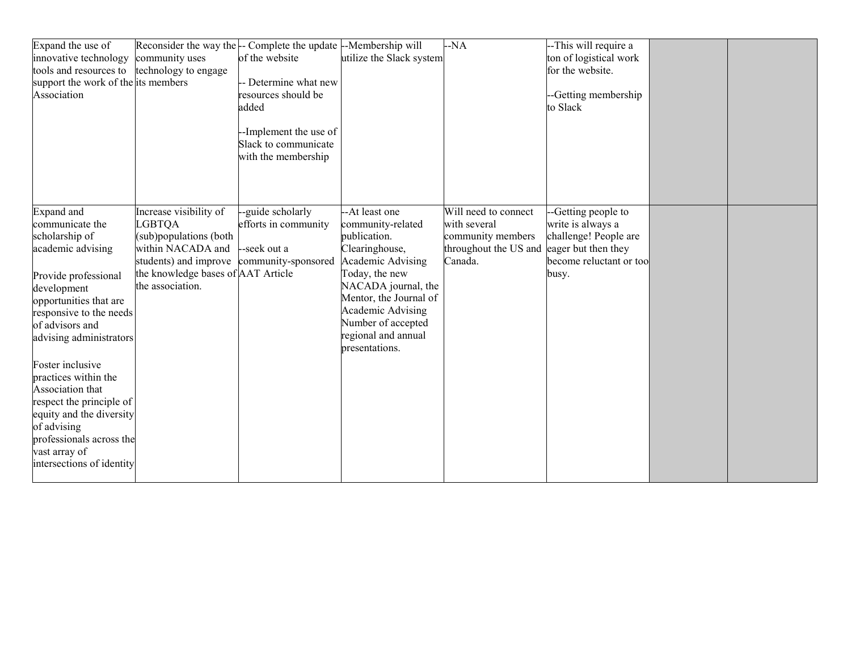| Expand the use of<br>innovative technology<br>tools and resources to<br>support the work of the its members<br>Association                                                                                                                                                                                                                                                                                                      | community uses<br>technology to engage                                                                                                                                    | Reconsider the way the - Complete the update --Membership will<br>of the website<br>-- Determine what new<br>resources should be<br>added<br>--Implement the use of<br>Slack to communicate<br>with the membership | utilize the Slack system                                                                                                                                                                                                                         | $-NA$                                                                                         | --This will require a<br>ton of logistical work<br>for the website.<br>--Getting membership<br>to Slack                      |  |
|---------------------------------------------------------------------------------------------------------------------------------------------------------------------------------------------------------------------------------------------------------------------------------------------------------------------------------------------------------------------------------------------------------------------------------|---------------------------------------------------------------------------------------------------------------------------------------------------------------------------|--------------------------------------------------------------------------------------------------------------------------------------------------------------------------------------------------------------------|--------------------------------------------------------------------------------------------------------------------------------------------------------------------------------------------------------------------------------------------------|-----------------------------------------------------------------------------------------------|------------------------------------------------------------------------------------------------------------------------------|--|
| Expand and<br>communicate the<br>scholarship of<br>academic advising<br>Provide professional<br>development<br>opportunities that are<br>responsive to the needs<br>of advisors and<br>advising administrators<br>Foster inclusive<br>practices within the<br>Association that<br>respect the principle of<br>equity and the diversity<br>of advising<br>professionals across the<br>vast array of<br>intersections of identity | Increase visibility of<br><b>LGBTQA</b><br>(sub)populations (both<br>within NACADA and<br>students) and improve<br>the knowledge bases of AAT Article<br>the association. | --guide scholarly<br>efforts in community<br>--seek out a<br>community-sponsored                                                                                                                                   | -At least one<br>community-related<br>publication.<br>Clearinghouse,<br>Academic Advising<br>Today, the new<br>NACADA journal, the<br>Mentor, the Journal of<br>Academic Advising<br>Number of accepted<br>regional and annual<br>presentations. | Will need to connect<br>with several<br>community members<br>throughout the US and<br>Canada. | --Getting people to<br>write is always a<br>challenge! People are<br>eager but then they<br>become reluctant or too<br>busy. |  |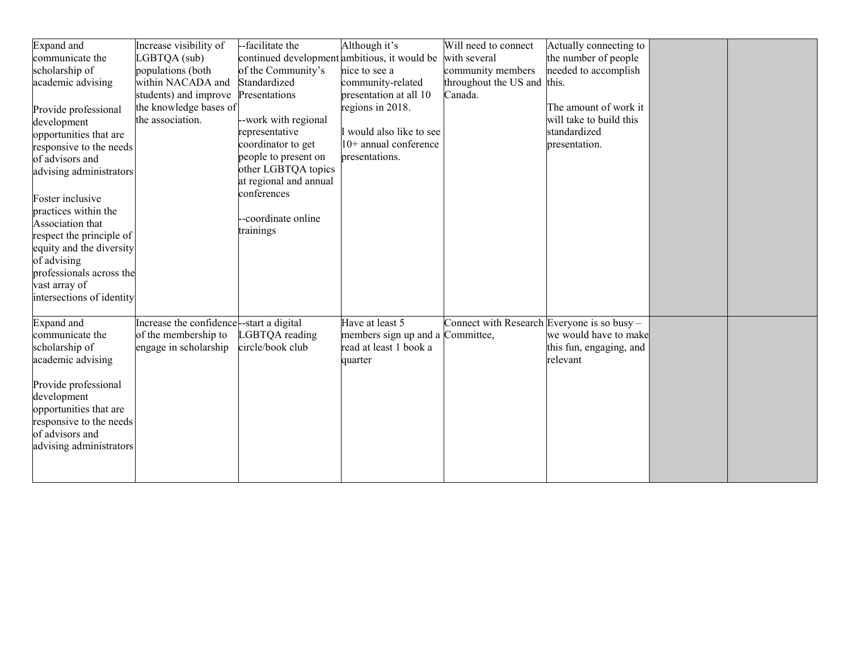| <b>Expand</b> and         | Increase visibility of                  | -facilitate the                              | Although it's                    | Will need to connect                          | Actually connecting to  |  |
|---------------------------|-----------------------------------------|----------------------------------------------|----------------------------------|-----------------------------------------------|-------------------------|--|
| communicate the           | LGBTQA (sub)                            | continued development ambitious, it would be |                                  | with several                                  | the number of people    |  |
| scholarship of            | populations (both                       | of the Community's                           | nice to see a                    | community members                             | needed to accomplish    |  |
| academic advising         | within NACADA and                       | Standardized                                 | community-related                | throughout the US and this.                   |                         |  |
|                           | students) and improve                   | Presentations                                | presentation at all 10           | Canada.                                       |                         |  |
| Provide professional      | the knowledge bases of                  |                                              | regions in 2018.                 |                                               | The amount of work it   |  |
| development               | the association.                        | --work with regional                         |                                  |                                               | will take to build this |  |
| opportunities that are    |                                         | representative                               | I would also like to see         |                                               | standardized            |  |
| responsive to the needs   |                                         | coordinator to get                           | $10+$ annual conference          |                                               | presentation.           |  |
| of advisors and           |                                         | people to present on                         | presentations.                   |                                               |                         |  |
| advising administrators   |                                         | other LGBTQA topics                          |                                  |                                               |                         |  |
|                           |                                         | at regional and annual                       |                                  |                                               |                         |  |
| Foster inclusive          |                                         | conferences                                  |                                  |                                               |                         |  |
| practices within the      |                                         |                                              |                                  |                                               |                         |  |
| Association that          |                                         | --coordinate online                          |                                  |                                               |                         |  |
| respect the principle of  |                                         | trainings                                    |                                  |                                               |                         |  |
| equity and the diversity  |                                         |                                              |                                  |                                               |                         |  |
| of advising               |                                         |                                              |                                  |                                               |                         |  |
| professionals across the  |                                         |                                              |                                  |                                               |                         |  |
| vast array of             |                                         |                                              |                                  |                                               |                         |  |
| intersections of identity |                                         |                                              |                                  |                                               |                         |  |
|                           |                                         |                                              |                                  |                                               |                         |  |
| Expand and                | Increase the confidence-start a digital |                                              | Have at least 5                  | Connect with Research Everyone is so busy $-$ |                         |  |
| communicate the           | of the membership to                    | LGBTQA reading                               | members sign up and a Committee, |                                               | we would have to make   |  |
| scholarship of            | engage in scholarship                   | circle/book club                             | read at least 1 book a           |                                               | this fun, engaging, and |  |
| academic advising         |                                         |                                              | quarter                          |                                               | relevant                |  |
|                           |                                         |                                              |                                  |                                               |                         |  |
| Provide professional      |                                         |                                              |                                  |                                               |                         |  |
| development               |                                         |                                              |                                  |                                               |                         |  |
| opportunities that are    |                                         |                                              |                                  |                                               |                         |  |
| responsive to the needs   |                                         |                                              |                                  |                                               |                         |  |
| of advisors and           |                                         |                                              |                                  |                                               |                         |  |
| advising administrators   |                                         |                                              |                                  |                                               |                         |  |
|                           |                                         |                                              |                                  |                                               |                         |  |
|                           |                                         |                                              |                                  |                                               |                         |  |
|                           |                                         |                                              |                                  |                                               |                         |  |